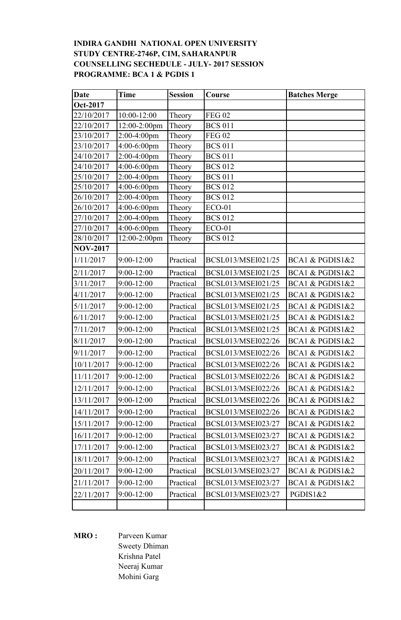## **INDIRA GANDHI NATIONAL OPEN UNIVERSITY STUDY CENTRE-2746P, CIM, SAHARANPUR COUNSELLING SECHEDULE - JULY- 2017 SESSION PROGRAMME: BCA 1 & PGDIS 1**

| <b>Date</b>     | <b>Time</b>    | <b>Session</b> | Course             | <b>Batches Merge</b> |
|-----------------|----------------|----------------|--------------------|----------------------|
| Oct-2017        |                |                |                    |                      |
| 22/10/2017      | 10:00-12:00    | Theory         | <b>FEG 02</b>      |                      |
| 22/10/2017      | 12:00-2:00pm   | Theory         | <b>BCS 011</b>     |                      |
| 23/10/2017      | $2:00-4:00$ pm | Theory         | <b>FEG 02</b>      |                      |
| 23/10/2017      | 4:00-6:00pm    | Theory         | <b>BCS 011</b>     |                      |
| 24/10/2017      | 2:00-4:00pm    | Theory         | <b>BCS 011</b>     |                      |
| 24/10/2017      | 4:00-6:00pm    | Theory         | <b>BCS 012</b>     |                      |
| 25/10/2017      | 2:00-4:00pm    | Theory         | <b>BCS 011</b>     |                      |
| 25/10/2017      | 4:00-6:00pm    | Theory         | <b>BCS 012</b>     |                      |
| 26/10/2017      | 2:00-4:00pm    | Theory         | <b>BCS 012</b>     |                      |
| 26/10/2017      | 4:00-6:00pm    | Theory         | <b>ECO-01</b>      |                      |
| 27/10/2017      | 2:00-4:00pm    | Theory         | <b>BCS 012</b>     |                      |
| 27/10/2017      | 4:00-6:00pm    | Theory         | <b>ECO-01</b>      |                      |
| 28/10/2017      | 12:00-2:00pm   | Theory         | <b>BCS 012</b>     |                      |
| <b>NOV-2017</b> |                |                |                    |                      |
| 1/11/2017       | 9:00-12:00     | Practical      | BCSL013/MSEI021/25 | BCA1 & PGDIS1&2      |
| 2/11/2017       | 9:00-12:00     | Practical      | BCSL013/MSEI021/25 | BCA1 & PGDIS1&2      |
| 3/11/2017       | 9:00-12:00     | Practical      | BCSL013/MSEI021/25 | BCA1 & PGDIS1&2      |
| 4/11/2017       | 9:00-12:00     | Practical      | BCSL013/MSEI021/25 | BCA1 & PGDIS1&2      |
| 5/11/2017       | 9:00-12:00     | Practical      | BCSL013/MSEI021/25 | BCA1 & PGDIS1&2      |
| 6/11/2017       | 9:00-12:00     | Practical      | BCSL013/MSEI021/25 | BCA1 & PGDIS1&2      |
| 7/11/2017       | 9:00-12:00     | Practical      | BCSL013/MSEI021/25 | BCA1 & PGDIS1&2      |
| 8/11/2017       | 9:00-12:00     | Practical      | BCSL013/MSEI022/26 | BCA1 & PGDIS1&2      |
| 9/11/2017       | 9:00-12:00     | Practical      | BCSL013/MSEI022/26 | BCA1 & PGDIS1&2      |
| 10/11/2017      | 9:00-12:00     | Practical      | BCSL013/MSEI022/26 | BCA1 & PGDIS1&2      |
| 11/11/2017      | $9:00 - 12:00$ | Practical      | BCSL013/MSEI022/26 | BCA1 & PGDIS1&2      |
| 12/11/2017      | 9:00-12:00     | Practical      | BCSL013/MSEI022/26 | BCA1 & PGDIS1&2      |
| 13/11/2017      | 9:00-12:00     | Practical      | BCSL013/MSEI022/26 | BCA1 & PGDIS1&2      |
| 14/11/2017      | 9:00-12:00     | Practical      | BCSL013/MSEI022/26 | BCA1 & PGDIS1&2      |
| 15/11/2017      | 9:00-12:00     | Practical      | BCSL013/MSEI023/27 | BCA1 & PGDIS1&2      |
| 16/11/2017      | $9:00 - 12:00$ | Practical      | BCSL013/MSEI023/27 | BCA1 & PGDIS1&2      |
| 17/11/2017      | $9:00 - 12:00$ | Practical      | BCSL013/MSEI023/27 | BCA1 & PGDIS1&2      |
| 18/11/2017      | $9:00 - 12:00$ | Practical      | BCSL013/MSEI023/27 | BCA1 & PGDIS1&2      |
| 20/11/2017      | 9:00-12:00     | Practical      | BCSL013/MSEI023/27 | BCA1 & PGDIS1&2      |
| 21/11/2017      | $9:00 - 12:00$ | Practical      | BCSL013/MSEI023/27 | BCA1 & PGDIS1&2      |
| 22/11/2017      | $9:00-12:00$   | Practical      | BCSL013/MSEI023/27 | PGDIS1&2             |
|                 |                |                |                    |                      |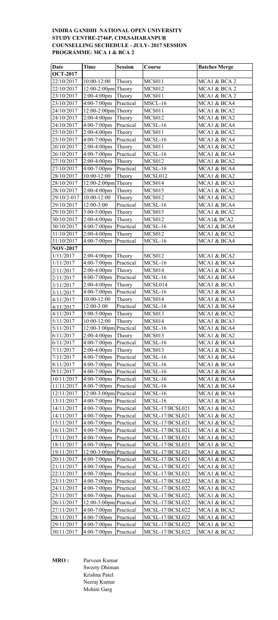# **INDIRA GANDHI NATIONAL OPEN UNIVERSITY STUDY CENTRE-2746P, CIM,SAHARANPUR COUNSELLING SECHEDULE - JULY- 2017 SESSION PROGRAMME: MCA 1 & BCA 2**

| Date            | <b>Time</b>               | <b>Session</b> | Course          | <b>Batches Merge</b> |
|-----------------|---------------------------|----------------|-----------------|----------------------|
| <b>OCT-2017</b> |                           |                |                 |                      |
| 22/10/2017      | $10:00 - 12:00$           | Theory         | <b>MCS011</b>   | MCA1 & BCA 2         |
| 22/10/2017      | 12:00-2:00pm Theory       |                | <b>MCS012</b>   | MCA1 & BCA 2         |
| 23/10/2017      | 2:00-4:00pm               | Theory         | <b>MCS011</b>   | MCA1 & BCA 2         |
| 23/10/2017      | 4:00-7:00pm               | Practical      | MSCL-16         | MCA1 & BCA4          |
|                 |                           |                |                 |                      |
| 24/10/2017      | $12:00-2:00$ pm Theory    |                | <b>MCS011</b>   | MCA1 & BCA2          |
| 24/10/2017      | 2:00-4:00pm               | Theory         | <b>MCS012</b>   | MCA1 & BCA2          |
| 24/10/2017      | 4:00-7:00pm               | Practical      | MCSL-16         | MCA1 & BCA4          |
| 25/10/2017      | 2:00-4:00pm               | Theory         | <b>MCS011</b>   | MCA1 & BCA2          |
| 25/10/2017      | 4:00-7:00pm               | Practical      | MCSL-16         | MCA1 & BCA4          |
| 26/10/2017      | 2:00-4:00pm               | Theory         | <b>MCS011</b>   | MCA1 & BCA2          |
| 26/10/2017      | 4:00-7:00pm               | Practical      | MCSL-16         | MCA1 & BCA4          |
| 27/10/2017      | 2:00-4:00pm               | Theory         | MCS012          | MCA1 & BCA2          |
| 27/10/2017      | 4:00-7:00pm               | Practical      | MCSL-16         | MCA1 & BCA4          |
| 28/10/2017      | 10:00-12:00               | Theory         | MCSL012         | MCA1 & BCA2          |
| 28/10/2017      | 12:00-2:00pm Theory       |                | MCS014          | MCA1 & BCA3          |
| 28/10/2017      | $2:00-4:00$ pm            | Theory         | <b>MCS015</b>   | MCA1 & BCA2          |
|                 |                           |                |                 |                      |
| 29/10/2-017     | 10:00-12:00               | Theory         | <b>MCS012</b>   | MCA1 & BCA2          |
| 29/10/2017      | 12:00-3:00                | Practical      | MCSL-16         | MCA1 & BCA4          |
| 29/10/2017      | $3:00-5:00$ pm            | Theory         | <b>MCS015</b>   | MCA1 & BCA2          |
| 30/10/2017      | 2:00-4:00pm               | Theory         | MCS012          | MCA1& BCA2           |
| 30/10/2017      | 4:00-7:00pm               | Practical      | MCSL-16         | MCA1 & BCA4          |
| 31/10/2017      | 2:00-4:00pm               | Theory         | <b>MCS012</b>   | MCA1 & BCA2          |
| 31/10/2017      | 4:00-7:00pm               | Practical      | MCSL-16         | MCA1 & BCA4          |
| <b>NOV-2017</b> |                           |                |                 |                      |
| 1/11/2017       | $2:00-4:00$ pm            | Theory         | MCS012          | MCA1 & BCA2          |
| 1/11/2017       | 4:00-7:00pm               | Practical      | MCSL-16         | MCA1 & BCA4          |
| 2/11/2017       | $2:00-4:00$ pm            | Theory         | MCS014          | MCA1 & BCA3          |
| 2/11/2017       | 4:00-7:00pm               | Practical      | MCSL-16         | MCA1 & BCA4          |
|                 | 2:00-4:00pm               | Theory         | MCSL014         | MCA1 & BCA3          |
| 3/11/2017       |                           |                |                 |                      |
| 3/11/2017       | $4:00 - 7:00$ pm          | Practical      | MCSL-16         | MCA1 & BCA4          |
| 4/11/2017       | 10:00-12:00               | Theory         | MCS014          | MCA1 & BCA3          |
| 4/11/2017       | 12:00-3:00                | Practical      | MCSL-16         | MCA1 & BCA4          |
| 4/11/2017       | 3:00-5:00pm               | Theory         | <b>MCS013</b>   | MCA1 & BCA2          |
| 5/11/2017       | $10:00 - 12:00$           | Theory         | MCS014          | MCA1 & BCA3          |
| 5/11/2017       | $12:00-3:00$ pm Practical |                | MCSL-16         | MCA1 & BCA4          |
| 6/11/2017       | $2:00-4:00$ pm            | Theory         | MCS013          | MCA1 & BCA2          |
| 6/11/2017       | $4:00-7:00$ pm            | Practical      | MCSL-16         | MCA1 & BCA4          |
| 7/11/2017       | $2:00-4:00$ pm            | Theory         | MCS013          | MCA1 & BCA2          |
| 7/11/2017       | $4:00-7:00$ pm            | Practical      | MCSL-16         | MCA1 & BCA4          |
| 8/11/2017       | $4:00-7:00$ pm            | Practical      | MCSL-16         | MCA1 & BCA4          |
| 9/11/2017       | $4:00-7:00$ pm            | Practical      | MCSL-16         | MCA1 & BCA4          |
| 10/11/2017      | $4:00-7:00$ pm            | Practical      | MCSL-16         | MCA1 & BCA4          |
| 11/11/2017      | $4:00-7:00$ pm            | Practical      | $MCSL-16$       | MCA1 & BCA4          |
| 12/11/2017      | $12:00-3:00$ pm Practical |                | $MCSL-16$       | MCA1 & BCA4          |
|                 |                           |                |                 |                      |
| 13/11/2017      | $4:00 - 7:00$ pm          | Practical      | MCSL-16         | MCA1 & BCA4          |
| 14/11/2017      | $4:00-7:00$ pm            | Practical      | MCSL-17/BCSL021 | MCA1 & BCA2          |
| 14/11/2017      | $4:00-7:00$ pm            | Practical      | MCSL-17/BCSL021 | MCA1 & BCA2          |
| 15/11/2017      | $4:00-7:00$ pm            | Practical      | MCSL-17/BCSL021 | MCA1 & BCA2          |
| 16/11/2017      | 4:00-7:00pm               | Practical      | MCSL-17/BCSL021 | MCA1 & BCA2          |
| 17/11/2017      | $4:00-7:00$ pm            | Practical      | MCSL-17/BCSL021 | MCA1 & BCA2          |
| 18/11/2017      | $4:00-7:00$ pm            | Practical      | MCSL-17/BCSL021 | MCA1 & BCA2          |
| 19/11/2017      | $12:00-3:00$ pm Practical |                | MCSL-17/BCSL021 | MCA1 & BCA2          |
| 20/11/2017      | $4:00-7:00$ pm            | Practical      | MCSL-17/BCSL021 | MCA1 & BCA2          |
| 21/11/2017      | 4:00-7:00pm               | Practical      | MCSL-17/BCSL021 | MCA1 & BCA2          |
| 22/11/2017      | $4:00-7:00$ pm            | Practical      | MCSL-17/BCSL021 | MCA1 & BCA2          |
| 23/11/2017      | 4:00-7:00pm               | Practical      | MCSL-17/BCSL022 | MCA1 & BCA2          |
| 24/11/2017      | $4:00-7:00$ pm            | Practical      | MCSL-17/BCSL022 | MCA1 & BCA2          |
|                 |                           |                |                 |                      |
| 25/11/2017      | $4:00-7:00$ pm            | Practical      | MCSL-17/BCSL022 | MCA1 & BCA2          |
| 26/11/2017      | $12:00-3:00$ pm Practical |                | MCSL-17/BCSL022 | MCA1 & BCA2          |
| 27/11/2017      | $4:00-7:00$ pm Practical  |                | MCSL-17/BCSL022 | MCA1 & BCA2          |
| 28/11/2017      | 4:00-7:00pm               | Practical      | MCSL-17/BCSL022 | MCA1 & BCA2          |
| 29/11/2017      | 4:00-7:00pm               | Practical      | MCSL-17/BCSL022 | MCA1 & BCA2          |
| 30/11/2017      | $4:00-7:00$ pm            | Practical      | MCSL-17/BCSL022 | MCA1 & BCA2          |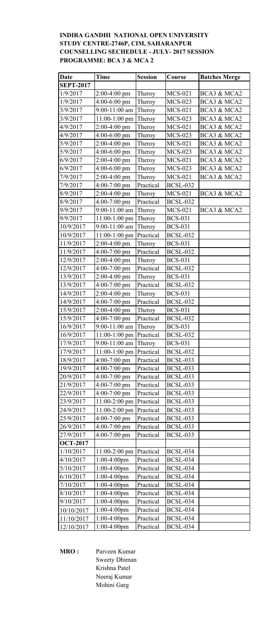# **INDIRA GANDHI NATIONAL OPEN UNIVERSITY STUDY CENTRE-2746P, CIM, SAHARANPUR COUNSELLING SECHEDULE - JULY- 2017 SESSION PROGRAMME: BCA 3 & MCA 2**

| Date             | <b>Time</b>     | <b>Session</b> | Course          | <b>Batches Merge</b> |
|------------------|-----------------|----------------|-----------------|----------------------|
| <b>SEPT-2017</b> |                 |                |                 |                      |
| 1/9/2017         | $2:00-4:00$ pm  | Theroy         | <b>MCS-021</b>  | BCA3 & MCA2          |
| 1/9/2017         | 4:00-6:00 pm    | Theroy         | <b>MCS-023</b>  | BCA3 & MCA2          |
| 3/9/2017         | 9:00-11:00 am   | Theroy         | <b>MCS-021</b>  | BCA3 & MCA2          |
| 3/9/2017         | 11:00-1:00 pm   | Theroy         | <b>MCS-023</b>  | BCA3 & MCA2          |
| 4/9/2017         | $2:00-4:00$ pm  | Theroy         | MCS-021         | BCA3 & MCA2          |
| 4/9/2017         | $4:00-6:00$ pm  | Theroy         | <b>MCS-023</b>  | BCA3 & MCA2          |
| 5/9/2017         | 2:00-4:00 pm    | Theroy         | <b>MCS-021</b>  | BCA3 & MCA2          |
| 5/9/2017         | $4:00-6:00$ pm  | Theroy         | <b>MCS-023</b>  | BCA3 & MCA2          |
| 6/9/2017         | $2:00-4:00$ pm  | Theroy         | <b>MCS-021</b>  | BCA3 & MCA2          |
| 6/9/2017         | 4:00-6:00 pm    | Theroy         | <b>MCS-023</b>  | BCA3 & MCA2          |
| 7/9/2017         | $2:00-4:00$ pm  | Theroy         | <b>MCS-021</b>  | BCA3 & MCA2          |
| 7/9/2017         | $4:00-7:00$ pm  | Practical      | <b>BCSL-032</b> |                      |
| 8/9/2017         | $2:00-4:00$ pm  | Theroy         | <b>MCS-021</b>  | BCA3 & MCA2          |
| 8/9/2017         | $4:00-7:00$ pm  | Practical      | <b>BCSL-032</b> |                      |
| 9/9/2017         | 9:00-11:00 am   | Theroy         | <b>MCS-021</b>  | BCA3 & MCA2          |
| 9/9/2017         | 11:00-1:00 pm   | Theroy         | <b>BCS-031</b>  |                      |
| 10/9/2017        | 9:00-11:00 am   | Theroy         | <b>BCS-031</b>  |                      |
| 10/9/2017        | 11:00-1:00 pm   | Practical      | <b>BCSL-032</b> |                      |
| 11/9/2017        | $2:00-4:00$ pm  | Theroy         | <b>BCS-031</b>  |                      |
| 11/9/2017        | 4:00-7:00 pm    | Practical      | <b>BCSL-032</b> |                      |
| 12/9/2017        | $2:00-4:00$ pm  | Theroy         | <b>BCS-031</b>  |                      |
| 12/9/2017        | $4:00-7:00$ pm  | Practical      | <b>BCSL-032</b> |                      |
| 13/9/2017        | $2:00-4:00$ pm  | Theroy         | <b>BCS-031</b>  |                      |
| 13/9/2017        | $4:00-7:00$ pm  | Practical      | <b>BCSL-032</b> |                      |
| 14/9/2017        | $2:00-4:00$ pm  | Theroy         | <b>BCS-031</b>  |                      |
| 14/9/2017        | $4:00-7:00$ pm  | Practical      | <b>BCSL-032</b> |                      |
| 15/9/2017        | $2:00-4:00$ pm  | Theroy         | <b>BCS-031</b>  |                      |
| 15/9/2017        | $4:00-7:00$ pm  | Practical      | <b>BCSL-032</b> |                      |
| 16/9/2017        | 9:00-11:00 am   | Theroy         | <b>BCS-031</b>  |                      |
| 16/9/2017        | $11:00-1:00$ pm | Practical      | <b>BCSL-032</b> |                      |
| 17/9/2017        | 9:00-11:00 am   | Theroy         | <b>BCS-031</b>  |                      |
| 17/9/2017        | $11:00-1:00$ pm | Practical      | <b>BCSL-032</b> |                      |
| 18/9/2017        | $4:00-7:00$ pm  | Practical      | <b>BCSL-033</b> |                      |
| 19/9/2017        | $4:00-7:00$ pm  | Practical      | <b>BCSL-033</b> |                      |
| 20/9/2017        | $4:00-7:00$ pm  | Practical      | <b>BCSL-033</b> |                      |
| 21/9/2017        | $4:00-7:00$ pm  | Practical      | <b>BCSL-033</b> |                      |
| 22/9/2017        | $4:00-7:00$ pm  | Practical      | <b>BCSL-033</b> |                      |
| 23/9/2017        | 11:00-2:00 pm   | Practical      | <b>BCSL-033</b> |                      |
| 24/9/2017        | 11:00-2:00 pm   | Practical      | <b>BCSL-033</b> |                      |
| 25/9/2017        | $4:00-7:00$ pm  | Practical      | <b>BCSL-033</b> |                      |
| 26/9/2017        | $4:00-7:00$ pm  | Practical      | <b>BCSL-033</b> |                      |
| 27/9/2017        | $4:00-7:00$ pm  | Practical      | <b>BCSL-033</b> |                      |
| <b>OCT-2017</b>  |                 |                |                 |                      |
| 1/10/2017        | 11:00-2:00 pm   | Practical      | <b>BCSL-034</b> |                      |
| 4/10/2017        | $1:00-4:00$ pm  | Practical      | <b>BCSL-034</b> |                      |
| 5/10/2017        | $1:00-4:00$ pm  | Practical      | <b>BCSL-034</b> |                      |
| 6/10/2017        | $1:00-4:00$ pm  | Practical      | <b>BCSL-034</b> |                      |
| 7/10/2017        | $1:00-4:00$ pm  | Practical      | <b>BCSL-034</b> |                      |
| 8/10/2017        | $1:00-4:00$ pm  | Practical      | <b>BCSL-034</b> |                      |
| 9/10/2017        | $1:00-4:00$ pm  | Practical      | <b>BCSL-034</b> |                      |
| 10/10/2017       | $1:00-4:00$ pm  | Practical      | <b>BCSL-034</b> |                      |
| 11/10/2017       | $1:00-4:00$ pm  | Practical      | <b>BCSL-034</b> |                      |
| 12/10/2017       | $1:00-4:00$ pm  | Practical      | <b>BCSL-034</b> |                      |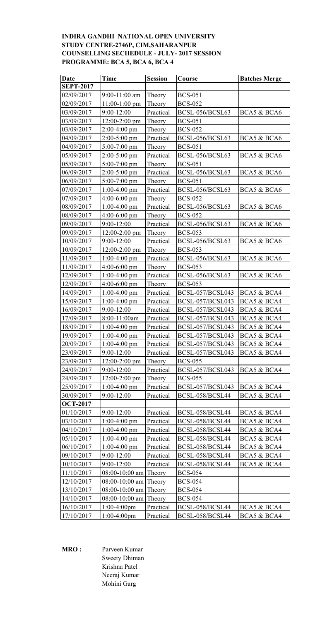# **INDIRA GANDHI NATIONAL OPEN UNIVERSITY STUDY CENTRE-2746P, CIM,SAHARANPUR COUNSELLING SECHEDULE - JULY- 2017 SESSION PROGRAMME: BCA 5, BCA 6, BCA 4**

| <b>Date</b>      | <b>Time</b>             | <b>Session</b> | Course           | <b>Batches Merge</b> |
|------------------|-------------------------|----------------|------------------|----------------------|
| <b>SEPT-2017</b> |                         |                |                  |                      |
| 02/09/2017       | $9:00-11:00$ am         | Theory         | <b>BCS-051</b>   |                      |
| 02/09/2017       | $11:00-1:00$ pm         | Theory         | <b>BCS-052</b>   |                      |
| 03/09/2017       | 9:00-12:00              | Practical      | BCSL-056/BCSL63  | BCA5 & BCA6          |
| 03/09/2017       | 12:00-2:00 pm           | Theory         | <b>BCS-051</b>   |                      |
| 03/09/2017       | $2:00-4:00$ pm          | Theory         | <b>BCS-052</b>   |                      |
| 04/09/2017       | $2:00-5:00$ pm          | Practical      | BCSL-056/BCSL63  | BCA5 & BCA6          |
| 04/09/2017       | 5:00-7:00 pm            | Theory         | <b>BCS-051</b>   |                      |
| 05/09/2017       | $2:00-5:00$ pm          | Practical      | BCSL-056/BCSL63  | BCA5 & BCA6          |
| 05/09/2017       | $5:00-7:00$ pm          | Theory         | <b>BCS-051</b>   |                      |
| 06/09/2017       | $2:00-5:00$ pm          | Practical      | BCSL-056/BCSL63  | BCA5 & BCA6          |
| 06/09/2017       | $5:00-7:00$ pm          | Theory         | <b>BCS-051</b>   |                      |
| 07/09/2017       | $1:00-4:00$ pm          | Practical      | BCSL-056/BCSL63  | BCA5 & BCA6          |
| 07/09/2017       | $4:00-6:00$ pm          | Theory         | <b>BCS-052</b>   |                      |
| 08/09/2017       | $1:00-4:00$ pm          | Practical      | BCSL-056/BCSL63  | BCA5 & BCA6          |
| 08/09/2017       | $4:00-6:00$ pm          | Theory         | <b>BCS-052</b>   |                      |
| 09/09/2017       | 9:00-12:00              | Practical      | BCSL-056/BCSL63  | BCA5 & BCA6          |
| 09/09/2017       | $12:00-2:00$ pm         | Theory         | <b>BCS-053</b>   |                      |
| 10/09/2017       | 9:00-12:00              | Practical      | BCSL-056/BCSL63  | BCA5 & BCA6          |
| 10/09/2017       | $12:00-2:00$ pm         | Theory         | <b>BCS-053</b>   |                      |
| 11/09/2017       | $1:00-4:00$ pm          | Practical      | BCSL-056/BCSL63  | BCA5 & BCA6          |
| 11/09/2017       | $4:00-6:00$ pm          | Theory         | <b>BCS-053</b>   |                      |
| 12/09/2017       | $1:00-4:00$ pm          | Practical      | BCSL-056/BCSL63  | BCA5 & BCA6          |
| 12/09/2017       | $4:00-6:00$ pm          | Theory         | <b>BCS-053</b>   |                      |
| 14/09/2017       | $1:00-4:00$ pm          | Practical      | BCSL-057/BCSL043 | BCA5 & BCA4          |
| 15/09/2017       | $1:00-4:00$ pm          | Practical      | BCSL-057/BCSL043 | BCA5 & BCA4          |
| 16/09/2017       | 9:00-12:00              | Practical      | BCSL-057/BCSL043 | BCA5 & BCA4          |
| 17/09/2017       | 8:00-11:00am            | Practical      | BCSL-057/BCSL043 | BCA5 & BCA4          |
| 18/09/2017       | $1:00-4:00$ pm          | Practical      | BCSL-057/BCSL043 | BCA5 & BCA4          |
| 19/09/2017       | 1:00-4:00 pm            | Practical      | BCSL-057/BCSL043 | BCA5 & BCA4          |
| 20/09/2017       | $1:00-4:00$ pm          | Practical      | BCSL-057/BCSL043 | BCA5 & BCA4          |
| 23/09/2017       | 9:00-12:00              | Practical      | BCSL-057/BCSL043 | BCA5 & BCA4          |
| 23/09/2017       | $12:00-2:00$ pm         | Theory         | <b>BCS-055</b>   |                      |
| 24/09/2017       | 9:00-12:00              | Practical      | BCSL-057/BCSL043 | BCA5 & BCA4          |
| 24/09/2017       | $12:00-2:00$ pm         | Theory         | <b>BCS-055</b>   |                      |
| 25/09/2017       | $1:00-4:00$ pm          | Practical      | BCSL-057/BCSL043 | BCA5 & BCA4          |
| 30/09/2017       | 9:00-12:00              | Practical      | BCSL-058/BCSL44  | BCA5 & BCA4          |
| <b>OCT-2017</b>  |                         |                |                  |                      |
| 01/10/2017       | $9:00-12:00$            | Practical      | BCSL-058/BCSL44  | BCA5 & BCA4          |
| 03/10/2017       | $1:00-4:00$ pm          | Practical      | BCSL-058/BCSL44  | BCA5 & BCA4          |
| 04/10/2017       | $1:00-4:00$ pm          | Practical      | BCSL-058/BCSL44  | BCA5 & BCA4          |
| 05/10/2017       | $1:00-4:00$ pm          | Practical      | BCSL-058/BCSL44  | BCA5 & BCA4          |
| 06/10/2017       | $1:00-4:00$ pm          | Practical      | BCSL-058/BCSL44  | BCA5 & BCA4          |
| 09/10/2017       | 9:00-12:00              | Practical      | BCSL-058/BCSL44  | BCA5 & BCA4          |
| 10/10/2017       | 9:00-12:00              | Practical      | BCSL-058/BCSL44  | BCA5 & BCA4          |
| 11/10/2017       | $08:00-10:00$ am Theory |                | <b>BCS-054</b>   |                      |
| 12/10/2017       | 08:00-10:00 am Theory   |                | <b>BCS-054</b>   |                      |
| 13/10/2017       | $08:00-10:00$ am        | Theory         | <b>BCS-054</b>   |                      |
| 14/10/2017       | 08:00-10:00 am Theory   |                | <b>BCS-054</b>   |                      |
| 16/10/2017       | $1:00-4:00$ pm          | Practical      | BCSL-058/BCSL44  | BCA5 & BCA4          |
| 17/10/2017       | $1:00-4:00$ pm          | Practical      | BCSL-058/BCSL44  | BCA5 & BCA4          |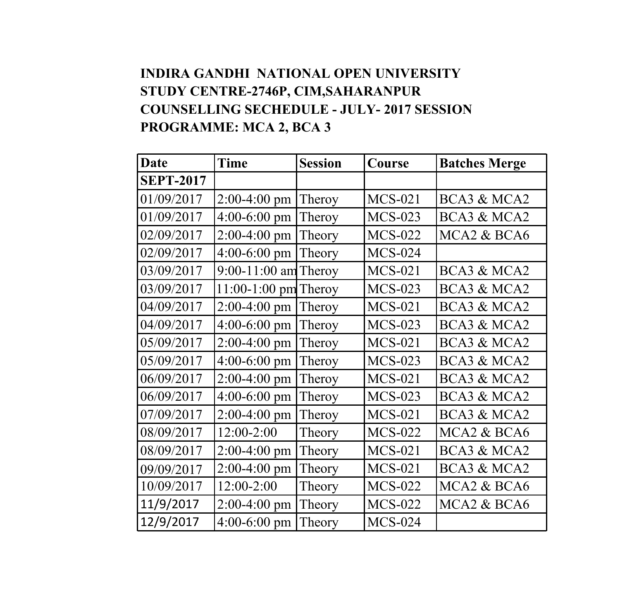#### **INDIRA GANDHI NATIONAL OPEN UNIVERSITY STUDY CENTRE-2746P, CIM,SAHARANPUR COUNSELLING SECHEDULE - JULY- 2017 SESSION PROGRAMME: MCA 2, BCA 3**

| Date             | Time                   | <b>Session</b> | Course         | <b>Batches Merge</b>                 |
|------------------|------------------------|----------------|----------------|--------------------------------------|
| <b>SEPT-2017</b> |                        |                |                |                                      |
| 01/09/2017       | $2:00-4:00$ pm         | Theroy         | <b>MCS-021</b> | BCA3 & MCA2                          |
| 01/09/2017       | $4:00-6:00 \text{ pm}$ | Theroy         | <b>MCS-023</b> | BCA3 & MCA2                          |
| 02/09/2017       | $2:00-4:00$ pm         | Theory         | <b>MCS-022</b> | MCA <sub>2</sub> & BC <sub>A6</sub>  |
| 02/09/2017       | $4:00-6:00$ pm         | Theory         | <b>MCS-024</b> |                                      |
| 03/09/2017       | 9:00-11:00 am Theroy   |                | $MCS-021$      | BCA3 & MCA2                          |
| 03/09/2017       | 11:00-1:00 pm Theroy   |                | <b>MCS-023</b> | BCA3 & MCA2                          |
| 04/09/2017       | $2:00-4:00$ pm         | Theroy         | $MCS-021$      | BCA3 & MCA2                          |
| 04/09/2017       | $4:00-6:00$ pm         | Theroy         | $MCS-023$      | BCA3 & MCA2                          |
| 05/09/2017       | $2:00-4:00$ pm         | Theroy         | $MCS-021$      | BCA3 & MCA2                          |
| 05/09/2017       | $4:00-6:00$ pm         | Theroy         | <b>MCS-023</b> | BCA3 & MCA2                          |
| 06/09/2017       | 2:00-4:00 pm           | Theroy         | <b>MCS-021</b> | BCA3 & MCA2                          |
| 06/09/2017       | $4:00-6:00$ pm         | Theroy         | $MCS-023$      | BCA3 & MCA2                          |
| 07/09/2017       | $2:00-4:00$ pm         | Theroy         | $MCS-021$      | BCA3 & MCA2                          |
| 08/09/2017       | $12:00 - 2:00$         | Theory         | <b>MCS-022</b> | MCA2 & BCA6                          |
| 08/09/2017       | 2:00-4:00 pm           | Theory         | <b>MCS-021</b> | BCA3 & MCA2                          |
| 09/09/2017       | $2:00-4:00$ pm         | Theory         | <b>MCS-021</b> | BCA3 & MCA2                          |
| 10/09/2017       | $12:00-2:00$           | Theory         | <b>MCS-022</b> | MCA <sub>2</sub> & BC <sub>A6</sub>  |
| 11/9/2017        | $2:00-4:00$ pm         | Theory         | <b>MCS-022</b> | MCA <sub>2</sub> & BC <sub>A</sub> 6 |
| 12/9/2017        | $4:00-6:00$ pm         | Theory         | <b>MCS-024</b> |                                      |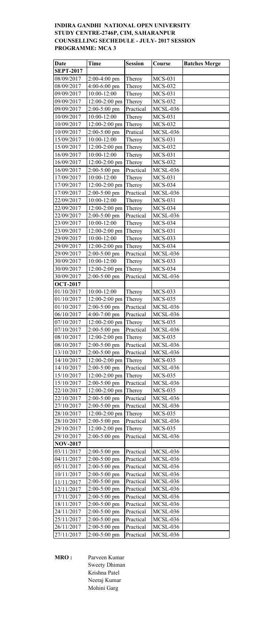## **INDIRA GANDHI NATIONAL OPEN UNIVERSITY STUDY CENTRE-2746P, CIM, SAHARANPUR COUNSELLING SECHEDULE - JULY- 2017 SESSION PROGRAMME: MCA 3**

| <b>Date</b>                   | Time            | <b>Session</b>      | Course          | <b>Batches Merge</b> |
|-------------------------------|-----------------|---------------------|-----------------|----------------------|
| <b>SEPT-2017</b>              |                 |                     |                 |                      |
| 08/09/2017                    | $2:00-4:00$ pm  | Theroy              | <b>MCS-031</b>  |                      |
| 08/09/2017                    | $4:00-6:00$ pm  | Theroy              | <b>MCS-032</b>  |                      |
| 09/09/2017                    | 10:00-12:00     | Theroy              | <b>MCS-031</b>  |                      |
| 09/09/2017                    | $12:00-2:00$ pm | Theroy              | <b>MCS-032</b>  |                      |
| 09/09/2017                    | $2:00-5:00$ pm  | Practical           | <b>MCSL-036</b> |                      |
| 10/09/2017                    | 10:00-12:00     | Theroy              | <b>MCS-031</b>  |                      |
| 10/09/2017                    | $12:00-2:00$ pm | Theroy              | <b>MCS-032</b>  |                      |
| 10/09/2017                    | $2:00-5:00$ pm  | Pratical            | <b>MCSL-036</b> |                      |
| 15/09/2017                    | 10:00-12:00     | Theroy              | <b>MCS-031</b>  |                      |
| 15/09/2017                    | 12:00-2:00 pm   | Theroy              | <b>MCS-032</b>  |                      |
| 16/09/2017                    | 10:00-12:00     | Theroy              | <b>MCS-031</b>  |                      |
| 16/09/2017                    | $12:00-2:00$ pm | Theroy              | <b>MCS-032</b>  |                      |
| 16/09/2017                    | $2:00-5:00$ pm  | Practical           | <b>MCSL-036</b> |                      |
| 17/09/2017                    | 10:00-12:00     | Theroy              | <b>MCS-031</b>  |                      |
| 17/09/2017                    | 12:00-2:00 pm   | Theroy              | <b>MCS-034</b>  |                      |
| 17/09/2017                    | $2:00-5:00$ pm  | Practical           | <b>MCSL-036</b> |                      |
| 22/09/2017                    | 10:00-12:00     | Theroy              | <b>MCS-031</b>  |                      |
| 22/09/2017                    | 12:00-2:00 pm   | Theroy              | <b>MCS-034</b>  |                      |
| 22/09/2017                    | $2:00-5:00$ pm  | Practical           | <b>MCSL-036</b> |                      |
| 23/09/2017                    | 10:00-12:00     | Theroy              | $MCS-034$       |                      |
| 23/09/2017                    | 12:00-2:00 pm   | Theroy              | <b>MCS-031</b>  |                      |
| 29/09/2017                    | 10:00-12:00     | Theroy              | <b>MCS-033</b>  |                      |
| 29/09/2017                    | 12:00-2:00 pm   | Theroy              | $MCS-034$       |                      |
| 29/09/2017                    | $2:00-5:00$ pm  | Practical           | <b>MCSL-036</b> |                      |
| 30/09/2017                    | 10:00-12:00     | Theroy              | <b>MCS-033</b>  |                      |
| 30/09/2017                    | 12:00-2:00 pm   | Theroy              | <b>MCS-034</b>  |                      |
| 30/09/2017<br><b>OCT-2017</b> | $2:00-5:00$ pm  | Practical           | <b>MCSL-036</b> |                      |
| 01/10/2017                    | 10:00-12:00     |                     | <b>MCS-033</b>  |                      |
| 01/10/2017                    | 12:00-2:00 pm   | Theroy              | <b>MCS-035</b>  |                      |
| 01/10/2017                    | $2:00-5:00$ pm  | Theroy<br>Practical | <b>MCSL-036</b> |                      |
| 06/10/2017                    | $4:00-7:00$ pm  | Practical           | MCSL-036        |                      |
| 07/10/2017                    | $12:00-2:00$ pm | Theroy              | <b>MCS-035</b>  |                      |
| 07/10/2017                    | $2:00-5:00$ pm  | Practical           | <b>MCSL-036</b> |                      |
| 08/10/2017                    | 12:00-2:00 pm   | Theroy              | <b>MCS-035</b>  |                      |
| 08/10/2017                    | $2:00-5:00$ pm  | Practical           | <b>MCSL-036</b> |                      |
| 13/10/2017                    | $2:00-5:00$ pm  | Practical           | <b>MCSL-036</b> |                      |
| 14/10/2017                    | 12:00-2:00 pm   | Theroy              | <b>MCS-035</b>  |                      |
| 14/10/2017                    | $2:00-5:00$ pm  | Practical           | <b>MCSL-036</b> |                      |
| 15/10/2017                    | 12:00-2:00 pm   | Theroy              | <b>MCS-035</b>  |                      |
| 15/10/2017                    | $2:00-5:00$ pm  | Practical           | <b>MCSL-036</b> |                      |
| 22/10/2017                    | 12:00-2:00 pm   | Theroy              | <b>MCS-035</b>  |                      |
| 22/10/2017                    | 2:00-5:00 pm    | Practical           | MCSL-036        |                      |
| 27/10/2017                    | $2:00-5:00$ pm  | Practical           | <b>MCSL-036</b> |                      |
| 28/10/2017                    | $12:00-2:00$ pm | Theroy              | <b>MCS-035</b>  |                      |
| 28/10/2017                    | $2:00-5:00$ pm  | Practical           | <b>MCSL-036</b> |                      |
| 29/10/2017                    | 12:00-2:00 pm   | Theroy              | <b>MCS-035</b>  |                      |
| 29/10/2017                    | $2:00-5:00$ pm  | Practical           | <b>MCSL-036</b> |                      |
| <b>NOV-2017</b>               |                 |                     |                 |                      |
| 03/11/2017                    | $2:00-5:00$ pm  | Practical           | <b>MCSL-036</b> |                      |
| 04/11/2017                    | $2:00-5:00$ pm  | Practical           | <b>MCSL-036</b> |                      |
| 05/11/2017                    | $2:00-5:00$ pm  | Practical           | <b>MCSL-036</b> |                      |
| 10/11/2017                    | 2:00-5:00 pm    | Practical           | <b>MCSL-036</b> |                      |
| 11/11/2017                    | $2:00-5:00$ pm  | Practical           | MCSL-036        |                      |
| 12/11/2017                    | $2:00-5:00$ pm  | Practical           | <b>MCSL-036</b> |                      |
| 17/11/2017                    | $2:00-5:00$ pm  | Practical           | MCSL-036        |                      |
| 18/11/2017                    | $2:00-5:00$ pm  | Practical           | <b>MCSL-036</b> |                      |
| 24/11/2017                    | $2:00-5:00$ pm  | Practical           | <b>MCSL-036</b> |                      |
| 25/11/2017                    | 2:00-5:00 pm    | Practical           | <b>MCSL-036</b> |                      |
| 26/11/2017                    | $2:00-5:00$ pm  | Practical           | <b>MCSL-036</b> |                      |
| 27/11/2017                    | $2:00-5:00$ pm  | Practical           | MCSL-036        |                      |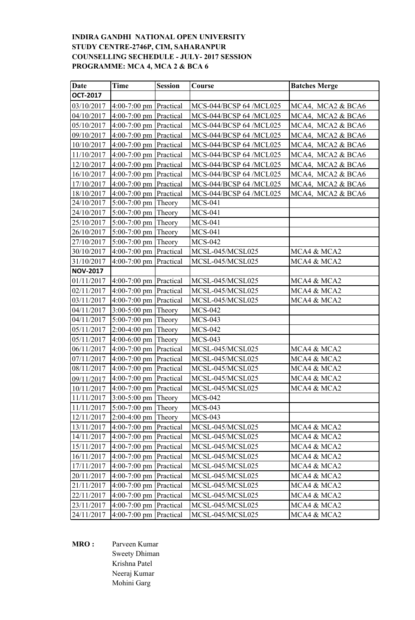### **INDIRA GANDHI NATIONAL OPEN UNIVERSITY STUDY CENTRE-2746P, CIM, SAHARANPUR COUNSELLING SECHEDULE - JULY- 2017 SESSION PROGRAMME: MCA 4, MCA 2 & BCA 6**

| <b>Date</b>         | <b>Time</b>              | <b>Session</b> | Course                  | <b>Batches Merge</b> |
|---------------------|--------------------------|----------------|-------------------------|----------------------|
| <b>OCT-2017</b>     |                          |                |                         |                      |
| 03/10/2017          | $4:00-7:00$ pm Practical |                | MCS-044/BCSP 64 /MCL025 | MCA4, MCA2 & BCA6    |
| 04/10/2017          | $4:00-7:00$ pm Practical |                | MCS-044/BCSP 64 /MCL025 | MCA4, MCA2 & BCA6    |
| 05/10/2017          | $4:00-7:00$ pm Practical |                | MCS-044/BCSP 64 /MCL025 | MCA4, MCA2 & BCA6    |
| 09/10/2017          | $4:00-7:00$ pm Practical |                | MCS-044/BCSP 64 /MCL025 | MCA4, MCA2 & BCA6    |
| 10/10/2017          | $4:00-7:00$ pm Practical |                | MCS-044/BCSP 64 /MCL025 | MCA4, MCA2 & BCA6    |
| 11/10/2017          | $4:00-7:00$ pm Practical |                | MCS-044/BCSP 64 /MCL025 | MCA4, MCA2 & BCA6    |
| 12/10/2017          | $4:00-7:00$ pm Practical |                | MCS-044/BCSP 64 /MCL025 | MCA4, MCA2 & BCA6    |
| 16/10/2017          | $4:00-7:00$ pm Practical |                | MCS-044/BCSP 64 /MCL025 | MCA4, MCA2 & BCA6    |
| 17/10/2017          | $4:00-7:00$ pm Practical |                | MCS-044/BCSP 64 /MCL025 | MCA4, MCA2 & BCA6    |
| 18/10/2017          | $4:00-7:00$ pm Practical |                | MCS-044/BCSP 64 /MCL025 | MCA4, MCA2 & BCA6    |
| 24/10/2017          | $5:00-7:00$ pm Theory    |                | <b>MCS-041</b>          |                      |
| 24/10/2017          | $5:00-7:00$ pm Theory    |                | <b>MCS-041</b>          |                      |
| 25/10/2017          | $5:00-7:00$ pm Theory    |                | <b>MCS-041</b>          |                      |
| 26/10/2017          | 5:00-7:00 pm Theory      |                | <b>MCS-041</b>          |                      |
| 27/10/2017          | $5:00-7:00$ pm           | Theory         | <b>MCS-042</b>          |                      |
| 30/10/2017          | $4:00-7:00$ pm           | Practical      | MCSL-045/MCSL025        | MCA4 & MCA2          |
| 31/10/2017          | $4:00-7:00$ pm           | Practical      | MCSL-045/MCSL025        | MCA4 & MCA2          |
| <b>NOV-2017</b>     |                          |                |                         |                      |
| 01/11/2017          | $4:00-7:00$ pm Practical |                | MCSL-045/MCSL025        | MCA4 & MCA2          |
| 02/11/2017          | $4:00-7:00$ pm Practical |                | MCSL-045/MCSL025        | MCA4 & MCA2          |
| 03/11/2017          | $4:00-7:00$ pm           | Practical      | MCSL-045/MCSL025        | MCA4 & MCA2          |
| 04/11/2017          | $3:00-5:00$ pm           | Theory         | <b>MCS-042</b>          |                      |
| 04/11/2017          | $5:00-7:00$ pm Theory    |                | <b>MCS-043</b>          |                      |
| 05/11/2017          | $2:00-4:00$ pm Theory    |                | <b>MCS-042</b>          |                      |
| 05/11/2017          | 4:00-6:00 pm             | Theory         | <b>MCS-043</b>          |                      |
| 06/11/2017          | $4:00-7:00$ pm           | Practical      | MCSL-045/MCSL025        | MCA4 & MCA2          |
| 07/11/2017          | $4:00-7:00$ pm Practical |                | MCSL-045/MCSL025        | MCA4 & MCA2          |
| 08/11/2017          | 4:00-7:00 pm             | Practical      | MCSL-045/MCSL025        | MCA4 & MCA2          |
| 09/11/2017          | $4:00-7:00$ pm Practical |                | MCSL-045/MCSL025        | MCA4 & MCA2          |
| 10/11/2017          | $4:00-7:00$ pm Practical |                | MCSL-045/MCSL025        | MCA4 & MCA2          |
| $\sqrt{11/11/2017}$ | $3.00 - 5.00$ pm Theory  |                | <b>MCS-042</b>          |                      |
| 11/11/2017          | $5:00-7:00$ pm Theory    |                | MCS-043                 |                      |
| 12/11/2017          | $2:00-4:00$ pm Theory    |                | <b>MCS-043</b>          |                      |
| 13/11/2017          | $4:00-7:00$ pm Practical |                | MCSL-045/MCSL025        | MCA4 & MCA2          |
| 14/11/2017          | $4:00-7:00$ pm Practical |                | MCSL-045/MCSL025        | MCA4 & MCA2          |
| 15/11/2017          | $4:00-7:00$ pm           | Practical      | MCSL-045/MCSL025        | MCA4 & MCA2          |
| 16/11/2017          | 4:00-7:00 pm             | Practical      | MCSL-045/MCSL025        | MCA4 & MCA2          |
| 17/11/2017          | $4:00-7:00$ pm           | Practical      | MCSL-045/MCSL025        | MCA4 & MCA2          |
| 20/11/2017          | $4:00-7:00$ pm           | Practical      | MCSL-045/MCSL025        | MCA4 & MCA2          |
| 21/11/2017          | $4:00-7:00$ pm           | Practical      | MCSL-045/MCSL025        | MCA4 & MCA2          |
| 22/11/2017          | $4:00-7:00$ pm           | Practical      | MCSL-045/MCSL025        | MCA4 & MCA2          |
| 23/11/2017          | $4:00-7:00$ pm           | Practical      | MCSL-045/MCSL025        | MCA4 & MCA2          |
| 24/11/2017          | $4:00-7:00$ pm Practical |                | MCSL-045/MCSL025        | MCA4 & MCA2          |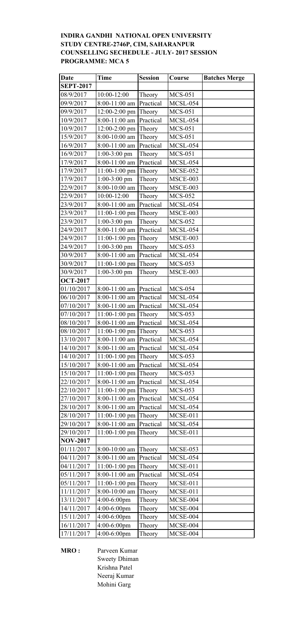# **INDIRA GANDHI NATIONAL OPEN UNIVERSITY STUDY CENTRE-2746P, CIM, SAHARANPUR COUNSELLING SECHEDULE - JULY- 2017 SESSION PROGRAMME: MCA 5**

| <b>Date</b>              | <b>Time</b>                      | <b>Session</b>      | Course                     | <b>Batches Merge</b> |
|--------------------------|----------------------------------|---------------------|----------------------------|----------------------|
| <b>SEPT-2017</b>         |                                  |                     |                            |                      |
| 08/9/2017                | 10:00-12:00                      | Theory              | <b>MCS-051</b>             |                      |
| 09/9/2017                | $8:00-11:00$ am Practical        |                     | MCSL-054                   |                      |
| 09/9/2017                | $12:00-2:00$ pm                  | Theory              | <b>MCS-051</b>             |                      |
| 10/9/2017                | 8:00-11:00 am                    | Practical           | <b>MCSL-054</b>            |                      |
| 10/9/2017                | $12:00-2:00$ pm                  | Theory              | <b>MCS-051</b>             |                      |
| 15/9/2017                | 8:00-10:00 am                    | Theory              | <b>MCS-051</b>             |                      |
| 16/9/2017                | 8:00-11:00 am                    | Practical           | MCSL-054                   |                      |
| 16/9/2017                | $1:00-3:00$ pm                   | Theory              | <b>MCS-051</b>             |                      |
| 17/9/2017                | 8:00-11:00 am                    | Practical           | <b>MCSL-054</b>            |                      |
| 17/9/2017                | $11:00-1:00$ pm                  | Theory              | MCSE-052                   |                      |
| 17/9/2017                | $1:00-3:00$ pm                   | Theory              | MSCE-003                   |                      |
| 22/9/2017                | 8:00-10:00 am                    | Theory              | <b>MSCE-003</b>            |                      |
| 22/9/2017                | 10:00-12:00                      | Theory              | <b>MCS-052</b>             |                      |
| 23/9/2017                | 8:00-11:00 am                    | Practical           | MCSL-054                   |                      |
| 23/9/2017                | 11:00-1:00 pm                    | Theory              | MSCE-003                   |                      |
| 23/9/2017                | $1:00-3:00$ pm                   | Theory              | <b>MCS-052</b>             |                      |
| 24/9/2017                | 8:00-11:00 am                    | Practical           | MCSL-054                   |                      |
| 24/9/2017                | $11:00-1:00$ pm                  | Theory              | MSCE-003                   |                      |
| 24/9/2017                | $1:00-3:00$ pm                   | Theory              | <b>MCS-053</b>             |                      |
| 30/9/2017                | 8:00-11:00 am                    | Practical           | MCSL-054                   |                      |
| 30/9/2017                | 11:00-1:00 pm                    | Theory              | <b>MCS-053</b>             |                      |
| 30/9/2017                | $1:00-3:00$ pm                   | Theory              | MSCE-003                   |                      |
| <b>OCT-2017</b>          |                                  |                     |                            |                      |
| 01/10/2017               | $8:00-11:00$ am Practical        |                     | <b>MCS-054</b>             |                      |
| 06/10/2017               | 8:00-11:00 am                    | Practical           | MCSL-054                   |                      |
| 07/10/2017               | 8:00-11:00 am   Practical        |                     | <b>MCSL-054</b>            |                      |
| 07/10/2017<br>08/10/2017 | $11:00-1:00$ pm<br>8:00-11:00 am | Theory<br>Practical | <b>MCS-053</b><br>MCSL-054 |                      |
| 08/10/2017               | $11:00-1:00$ pm                  | Theory              | <b>MCS-053</b>             |                      |
| 13/10/2017               | 8:00-11:00 am                    | Practical           | MCSL-054                   |                      |
| 14/10/2017               | $8:00-11:00$ am                  | Practical           | <b>MCSL-054</b>            |                      |
| 14/10/2017               | $11:00-1:00$ pm                  | Theory              | <b>MCS-053</b>             |                      |
| 15/10/2017               | 8:00-11:00 am                    | Practical           | MCSL-054                   |                      |
| 15/10/2017               | $11:00-1:00$ pm                  | Theory              | <b>MCS-053</b>             |                      |
| 22/10/2017               | 8:00-11:00 am                    | Practical           | MCSL-054                   |                      |
| 22/10/2017               | 11:00-1:00 pm                    | Theory              | <b>MCS-053</b>             |                      |
| 27/10/2017               | 8:00-11:00 am                    | Practical           | MCSL-054                   |                      |
| 28/10/2017               | 8:00-11:00 am                    | Practical           | MCSL-054                   |                      |
| 28/10/2017               | $11:00-1:00$ pm                  | Theory              | MCSE-011                   |                      |
| 29/10/2017               | 8:00-11:00 am                    | Practical           | MCSL-054                   |                      |
| 29/10/2017               | $11:00-1:00$ pm                  | Theory              | <b>MCSE-011</b>            |                      |
| <b>NOV-2017</b>          |                                  |                     |                            |                      |
| 01/11/2017               | 8:00-10:00 am                    | Theory              | MCSE-053                   |                      |
| 04/11/2017               | 8:00-11:00 am                    | Practical           | MCSL-054                   |                      |
| 04/11/2017               | 11:00-1:00 pm                    | Theory              | MCSE-011                   |                      |
| 05/11/2017               | 8:00-11:00 am                    | Practical           | MCSL-054                   |                      |
| 05/11/2017               | $11:00-1:00$ pm                  | Theory              | MCSE-011                   |                      |
| 11/11/2017               | 8:00-10:00 am                    | Theory              | <b>MCSE-011</b>            |                      |
| 13/11/2017               | $4:00-6:00$ pm                   | Theory              | MCSE-004                   |                      |
| 14/11/2017               | 4:00-6:00pm                      | Theory              | MCSE-004                   |                      |
| 15/11/2017               | 4:00-6:00pm                      | Theory              | MCSE-004                   |                      |
| 16/11/2017               | $4:00-6:00$ pm                   | Theory              | MCSE-004                   |                      |
| 17/11/2017               | 4:00-6:00pm                      | Theory              | MCSE-004                   |                      |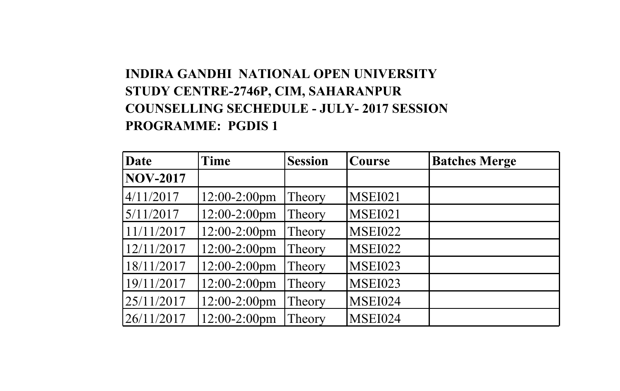# **INDIRA GANDHI NATIONAL OPEN UNIVERSITY STUDY CENTRE-2746P, CIM, SAHARANPUR COUNSELLING SECHEDULE - JULY- 2017 SESSION PROGRAMME: PGDIS 1**

| Date            | Time            | <b>Session</b> | <b>Course</b>  | <b>Batches Merge</b> |
|-----------------|-----------------|----------------|----------------|----------------------|
| <b>NOV-2017</b> |                 |                |                |                      |
| 4/11/2017       | $12:00-2:00$ pm | Theory         | <b>MSEI021</b> |                      |
| 5/11/2017       | 12:00-2:00pm    | Theory         | <b>MSEI021</b> |                      |
| 11/11/2017      | 12:00-2:00pm    | Theory         | <b>MSEI022</b> |                      |
| 12/11/2017      | 12:00-2:00pm    | Theory         | <b>MSEI022</b> |                      |
| 18/11/2017      | 12:00-2:00pm    | Theory         | <b>MSEI023</b> |                      |
| 19/11/2017      | 12:00-2:00pm    | Theory         | <b>MSEI023</b> |                      |
| 25/11/2017      | 12:00-2:00pm    | Theory         | <b>MSEI024</b> |                      |
| 26/11/2017      | 12:00-2:00pm    | Theory         | <b>MSEI024</b> |                      |